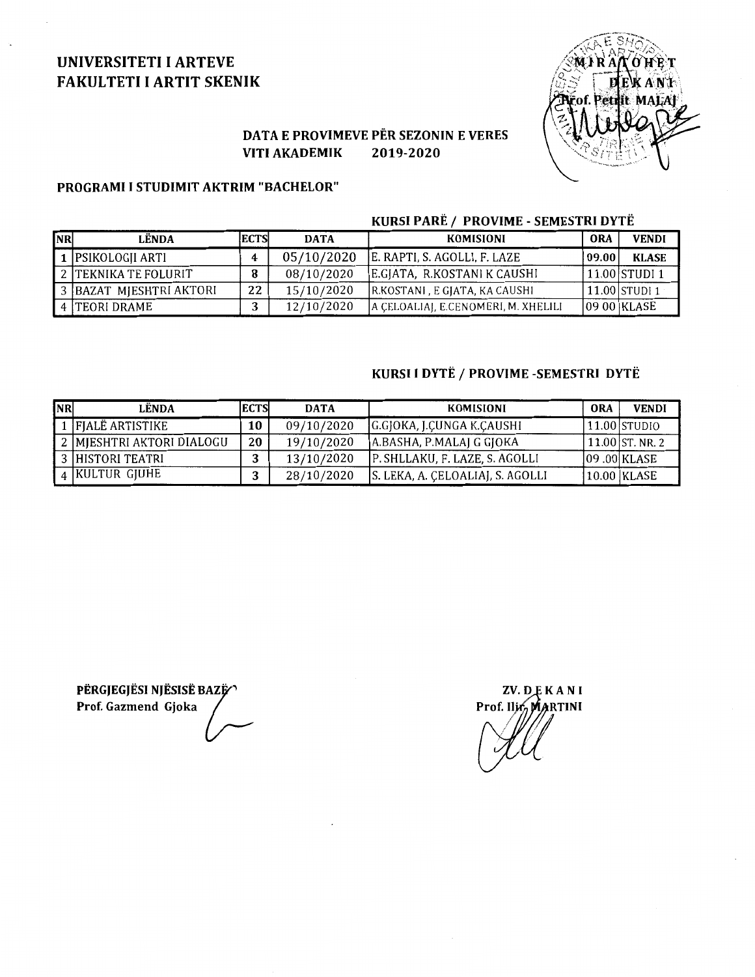# UNIVERSITETI I ARTEVE FAKULTETI I ARTIT SKENIK



## DATA E PROVIMEVE PER SEZONIN E VERES VITI AKADEMIK 2019-2020

#### PROGRAMI I STUDIMIT AKTRIM "BACHELOR"

### KURSI PARË / PROVIME - SEMESTRI DYTË

| <b>NR</b> | LËNDA                   | <b>ECTS</b> | <b>DATA</b> | KOMISIONI                           | <b>ORA</b>   | <b>VENDI</b>   |
|-----------|-------------------------|-------------|-------------|-------------------------------------|--------------|----------------|
|           | 1   PSIKOLOGJI ARTI     |             | 05/10/2020  | E. RAPTI, S. AGOLLI, F. LAZE        | <b>09.00</b> | <b>KLASE</b>   |
|           | 2 TEKNIKA TE FOLURIT    | 8           | 08/10/2020  | E.GIATA, R.KOSTANI K CAUSHI         |              | 11.00 STUDI 1  |
|           | 3 BAZAT MJESHTRI AKTORI | 22          | 15/10/2020  | R.KOSTANI, E GJATA, KA CAUSHI       |              | 11.00 STUDI 1  |
|           | 4 TEORI DRAME           |             | 12/10/2020  | A CELOALIAI, E.CENOMERI, M. XHELILI |              | $ 0900 $ KLASE |

### KURSI I DYTË / PROVIME -SEMESTRI DYTË

| <b>NR</b> | LËNDA                     | <b>ECTS</b> | <b>DATA</b> | <b>KOMISIONI</b>                 | <b>ORA</b> | <b>VENDI</b>      |
|-----------|---------------------------|-------------|-------------|----------------------------------|------------|-------------------|
|           | 1 FIALE ARTISTIKE         | 10          | 09/10/2020  | G.GJOKA, J.CUNGA K.CAUSHI        |            | 11.00 STUDIO      |
|           | 2 MIESHTRI AKTORI DIALOGU | 20          | 19/10/2020  | JA.BASHA, P.MALAJ G GJOKA        |            | $11.00$ ST. NR. 2 |
|           | 3 HISTORI TEATRI          | ີ           | 13/10/2020  | P. SHLLAKU, F. LAZE, S. AGOLLI   |            | $ 09.00 $ KLASE   |
|           | 4 KULTUR GJUHE            |             | 28/10/2020  | S. LEKA, A. CELOALIAI, S. AGOLLI |            | 10.00 KLASE       |

PËRGJEGJËSI NJËSISË BAZË Prof. Gazmend Gjoka

ZV. DEKANI Prof. Ilir, MARTINI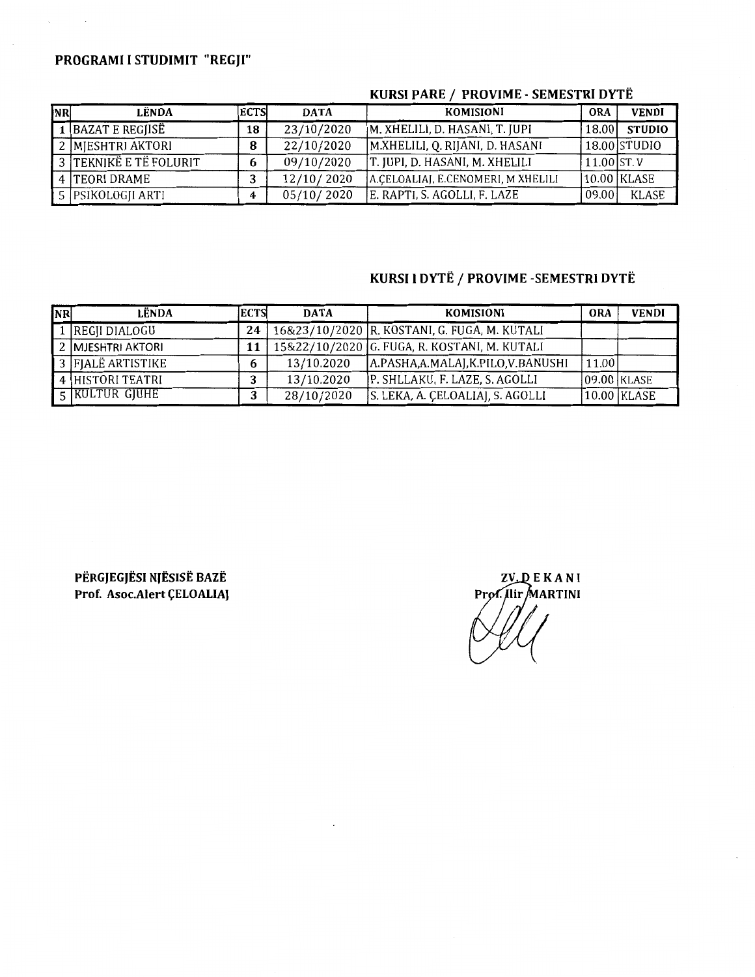# PROGRAMI I STUDIMIT "REGJI"

 $\sim$   $\sim$ 

| <b>NR</b> | LËNDA                  | <b>ECTS</b> | <b>DATA</b> | <b>KOMISIONI</b>                   | <b>ORA</b>    | <b>VENDI</b>  |
|-----------|------------------------|-------------|-------------|------------------------------------|---------------|---------------|
|           | 1  BAZAT E REGJISË     | 18          | 23/10/2020  | M. XHELILI, D. HASANI, T. JUPI     | 18.00         | <b>STUDIO</b> |
|           | 2 MJESHTRI AKTORI      | 8           | 22/10/2020  | M.XHELILI, Q. RIJANI, D. HASANI    |               | 18.00 STUDIO  |
|           | 3 TEKNIKË E TË FOLURIT | 6           | 09/10/2020  | T. JUPI, D. HASANI, M. XHELILI     | 11.00   ST. V |               |
|           | 4 TEORI DRAME          |             | 12/10/2020  | A.CELOALIAJ, E.CENOMERI, M XHELILI |               | 10.00 KLASE   |
|           | 5 PSIKOLOGII ARTI      | 4           | 05/10/2020  | E. RAPTI, S. AGOLLI, F. LAZE       | 09.00         | <b>KLASE</b>  |

### KURSI PARE / PROVIME - SEMESTRI DYTË

# KURSI I DYTË / PROVIME -SEMESTRI DYTË

| <b>NR</b> | LËNDA             | <b>ECTS</b> | <b>DATA</b> | <b>KOMISIONI</b>                             | <b>ORA</b>      | <b>VENDI</b> |
|-----------|-------------------|-------------|-------------|----------------------------------------------|-----------------|--------------|
|           | 1  REGJI DIALOGU  | 24          |             | 16&23/10/2020 R. KOSTANI, G. FUGA, M. KUTALI |                 |              |
|           | 2 MJESHTRI AKTORI | 11          |             | 15&22/10/2020 G. FUGA, R. KOSTANI, M. KUTALI |                 |              |
|           | 3 FJALË ARTISTIKE | 6           | 13/10.2020  | A.PASHA, A.MALAJ, K.PILO, V.BANUSHI          | 11.00           |              |
|           | 4 HISTORI TEATRI  |             | 13/10.2020  | P. SHLLAKU, F. LAZE, S. AGOLLI               | $ 09.00 $ KLASE |              |
|           | 5 KULTUR GJUHE    |             | 28/10/2020  | S. LEKA, A. CELOALIAJ, S. AGOLLI             |                 | 10.00 KLASE  |

PERGJEGJESI NJESISE BAZE Prof. Asoc.Alert ÇELOALIAJ

**ZV. QEKANI** Prof. Ilir MARTINI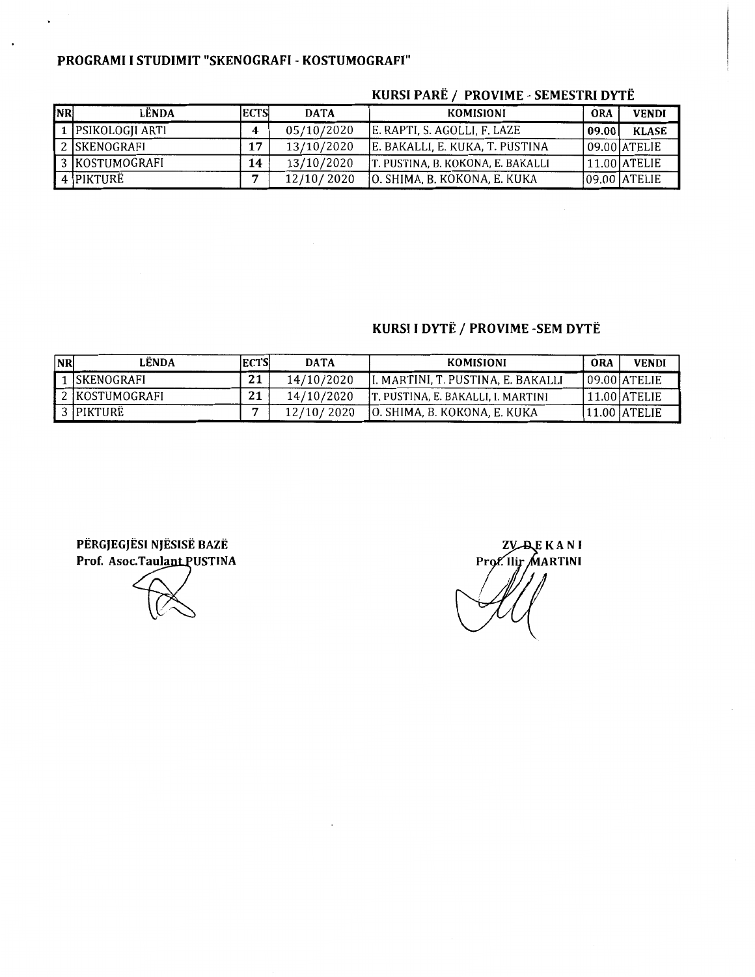#### PROGRAMI I STUDIMIT "SKENOGRAFI - KOSTUMOGRAFI"

| <b>NR</b> | LËNDA               | <b>ECTS</b> | <b>DATA</b> | <b>KOMISIONI</b>                  | <b>ORA</b> | <b>VENDI</b>     |
|-----------|---------------------|-------------|-------------|-----------------------------------|------------|------------------|
|           | 1   PSIKOLOGJI ARTI |             | 05/10/2020  | E. RAPTI, S. AGOLLI, F. LAZE      | 09.00      | <b>KLASE</b>     |
|           | 2 SKENOGRAFI        | 17          | 13/10/2020  | E. BAKALLI, E. KUKA, T. PUSTINA   |            | 109.001ATELIE    |
|           | 3  KOSTUMOGRAFI     | 14          | 13/10/2020  | T. PUSTINA, B. KOKONA, E. BAKALLI |            | $11.00$ ATELIE   |
|           | 4 PIKTURË           |             | 12/10/2020  | JO. SHIMA, B. KOKONA, E. KUKA     |            | $ 09.00 $ ATELIE |

#### KURSI PARË / PROVIME - SEMESTRI DYTË

### KURSI I DYTË / PROVIME -SEM DYTË

| <b>NR</b> | LËNDA             | <b>ECTS</b> | <b>DATA</b> | KOMISIONI                           | ORA | <b>VENDI</b> |
|-----------|-------------------|-------------|-------------|-------------------------------------|-----|--------------|
|           | <b>SKENOGRAFI</b> | 21          | 14/10/2020  | II. MARTINI, T. PUSTINA, E. BAKALLI |     | 09.00 ATELIE |
|           | 2 KOSTUMOGRAFI    | 21          | 14/10/2020  | T. PUSTINA, E. BAKALLI, I. MARTINI  |     | 11.00 ATELIE |
|           | 3 PIKTURË         |             | 12/10/2020  | JO. SHIMA, B. KOKONA, E. KUKA       |     | 11.00 ATELIE |

PERGJEGJESI NJESISE BAZE Prof. Asoc.TaulantPUSTINA

**ZV-AEKANI** Prof. Ilir MARTINI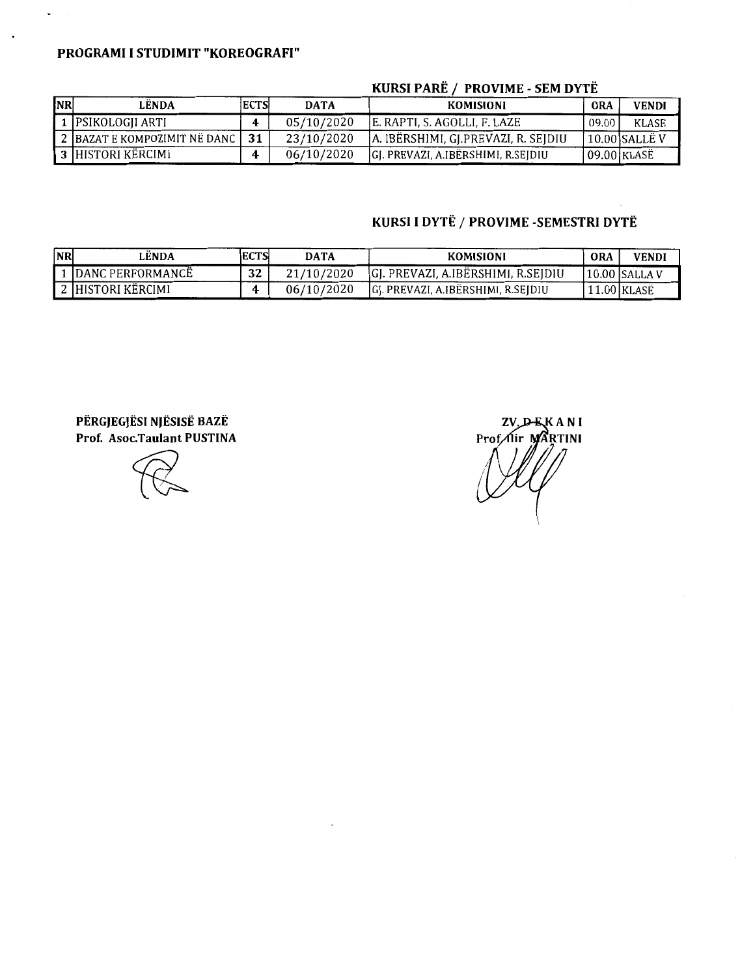#### PROGRAMI I STUDIMIT "KOREOGRAFI"

 $\ddot{\phantom{0}}$ 

| <b>NR</b> | LËNDA                          | <b>ECTS</b> | <b>DATA</b> | KOMISIONI                           | ORA          | <b>VENDI</b>  |
|-----------|--------------------------------|-------------|-------------|-------------------------------------|--------------|---------------|
|           | 1 PSIKOLOGJI ARTI              |             | 05/10/2020  | E. RAPTI. S. AGOLLI. F. LAZE        | 09.00        | KLASE         |
|           | 2   BAZAT E KOMPOZIMIT NË DANC | 31          | 23/10/2020  | A. IBËRSHIMI, GJ.PREVAZI, R. SEJDIU |              | 10.00 SALLE V |
|           | 3 HISTORI KËRCIMI              |             | 06/10/2020  | GJ. PREVAZI, A.IBËRSHIMI, R.SEJDIU  | 109.00 KLASË |               |

#### KURSI PARË / PROVIME - SEM DYTË

# KURSI I DYTË / PROVIME -SEMESTRI DYTË

| <b>NR</b> | LENDA.                | IECTSI | <b>DATA</b> | KOMISIONI                           | <b>ORA</b> | <b>VENDI</b>    |
|-----------|-----------------------|--------|-------------|-------------------------------------|------------|-----------------|
|           | 1 IDANC PERFORMANCE   | 32     | 21/10/2020  | GJ. PREVAZI, A.IBERSHIMI, R.SEJDIU  |            | $10.00$ SALLA V |
|           | I 2 IHISTORI KËRCIMI. |        | 06/10/2020  | IGI. PREVAZI, A.IBËRSHIMI, R.SEIDIU |            | l 1.00   KLASË  |

PERGJEGJESI NJESISE BAZE Prof. Asoc.Taulant PUSTINA

ZV\_D-E KANI Prof. Iir MARTINI